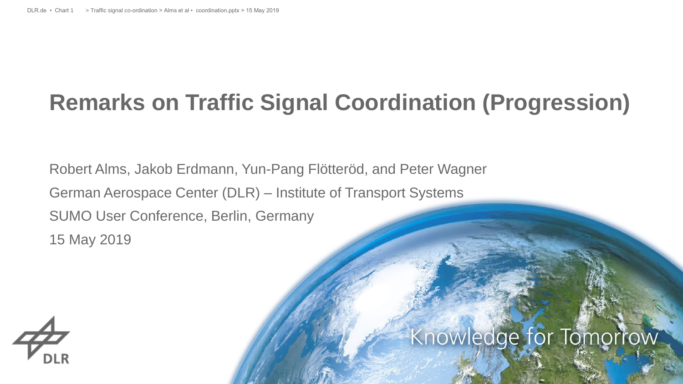#### **Remarks on Traffic Signal Coordination (Progression)**

Robert Alms, Jakob Erdmann, Yun-Pang Flötteröd, and Peter Wagner German Aerospace Center (DLR) – Institute of Transport Systems SUMO User Conference, Berlin, Germany 15 May 2019



#### Knowledge for Tomorrow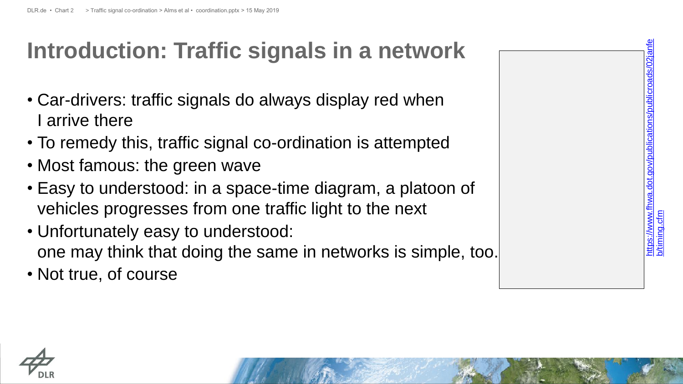## **Introduction: Traffic signals in a network**

- Car-drivers: traffic signals do always display red when I arrive there
- To remedy this, traffic signal co -ordination is attempted
- Most famous: the green wave
- Easy to understood: in a space-time diagram, a platoon of vehicles progresses from one traffic light to the next
- Unfortunately easy to understood: one may think that doing the same in networks is simple, too.
- Not true, of course



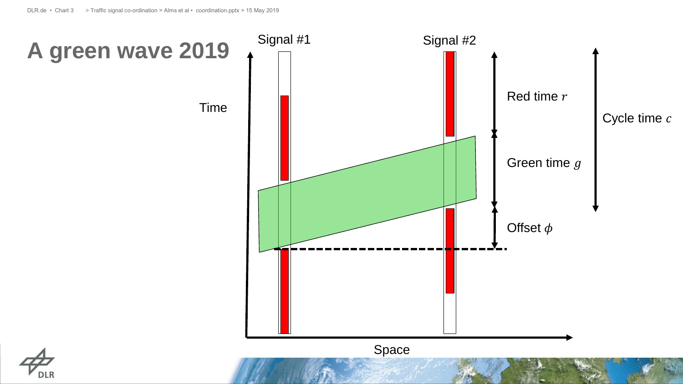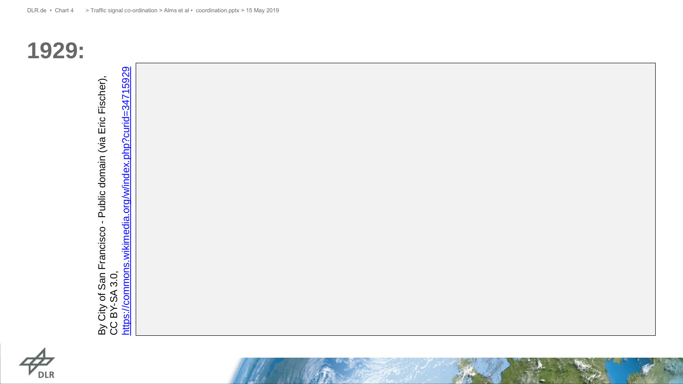

**1929:**

https://commons.wikimedia.org/w/index.php?curid=34715929 By City of San Francisco - Public domain (via Eric Fischer),<br>CC BY-SA 3.0,<br><https://commons.wikimedia.org/w/index.php?curid=34715929> By City of San Francisco - Public domain (via Eric Fischer),<br>CC BY-SA 3.0,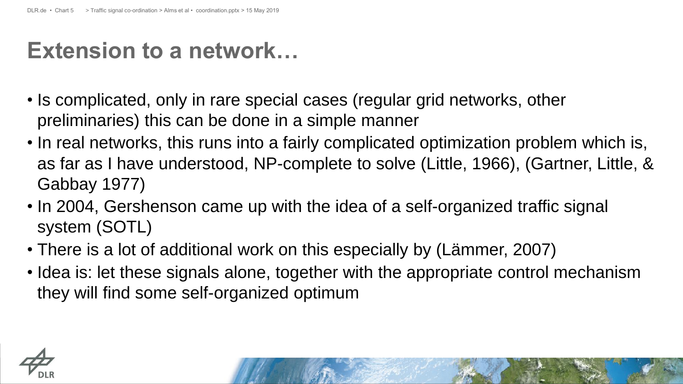#### **Extension to a network…**

- Is complicated, only in rare special cases (regular grid networks, other preliminaries) this can be done in a simple manner
- In real networks, this runs into a fairly complicated optimization problem which is, as far as I have understood, NP-complete to solve (Little, 1966), (Gartner, Little, & Gabbay 1977)
- In 2004, Gershenson came up with the idea of a self-organized traffic signal system (SOTL)
- There is a lot of additional work on this especially by (Lämmer, 2007)
- Idea is: let these signals alone, together with the appropriate control mechanism they will find some self-organized optimum

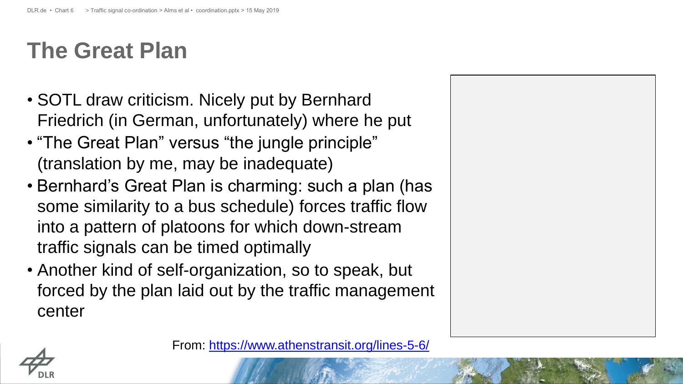#### **The Great Plan**

- SOTL draw criticism. Nicely put by Bernhard Friedrich (in German, unfortunately) where he put
- "The Great Plan" versus "the jungle principle" (translation by me, may be inadequate)
- Bernhard's Great Plan is charming: such a plan (has some similarity to a bus schedule) forces traffic flow into a pattern of platoons for which down-stream traffic signals can be timed optimally
- Another kind of self-organization, so to speak, but forced by the plan laid out by the traffic management center



From:<https://www.athenstransit.org/lines-5-6/>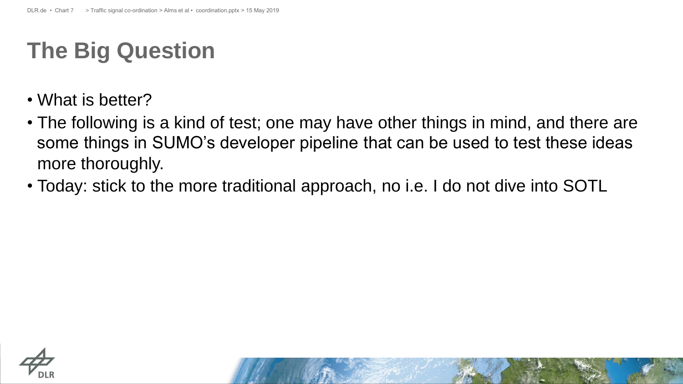#### **The Big Question**

- What is better?
- The following is a kind of test; one may have other things in mind, and there are some things in SUMO's developer pipeline that can be used to test these ideas more thoroughly.
- Today: stick to the more traditional approach, no i.e. I do not dive into SOTL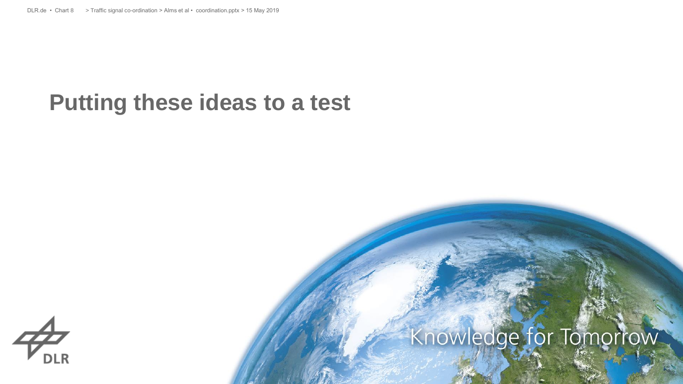#### **Putting these ideas to a test**



## Knowledge for Tomorrow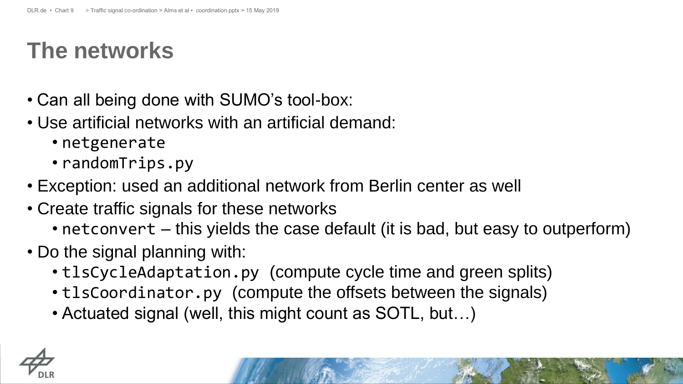#### **The networks**

- Can all being done with SUMO's tool-box:
- Use artificial networks with an artificial demand:
	- netgenerate
	- randomTrips.py
- Exception: used an additional network from Berlin center as well
- Create traffic signals for these networks
	- netconvert this yields the case default (it is bad, but easy to outperform)
- Do the signal planning with:
	- tlsCycleAdaptation.py (compute cycle time and green splits)
	- tlsCoordinator.py (compute the offsets between the signals)
	- Actuated signal (well, this might count as SOTL, but…)

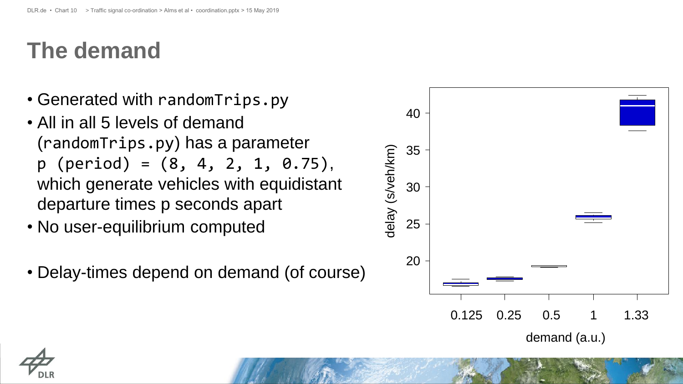#### **The demand**

- Generated with randomTrips.py
- All in all 5 levels of demand (randomTrips.py) has a parameter  $p$  (period) =  $(8, 4, 2, 1, 0.75)$ , which generate vehicles with equidistant departure times p seconds apart
- No user-equilibrium computed
- Delay-times depend on demand (of course)



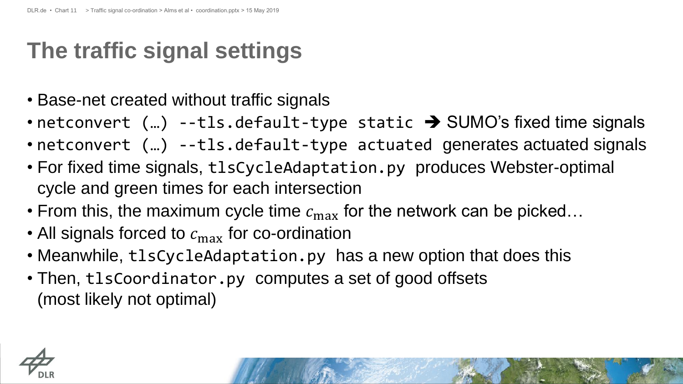#### **The traffic signal settings**

- Base-net created without traffic signals
- netconvert  $(m)$  --tls.default-type static  $\rightarrow$  SUMO's fixed time signals
- netconvert (...) --tls.default-type actuated generates actuated signals
- For fixed time signals, tlsCycleAdaptation.py produces Webster-optimal cycle and green times for each intersection
- From this, the maximum cycle time  $c_{\text{max}}$  for the network can be picked...
- All signals forced to  $c_{\text{max}}$  for co-ordination
- Meanwhile, tlsCycleAdaptation.py has a new option that does this
- Then, tlsCoordinator.py computes a set of good offsets (most likely not optimal)

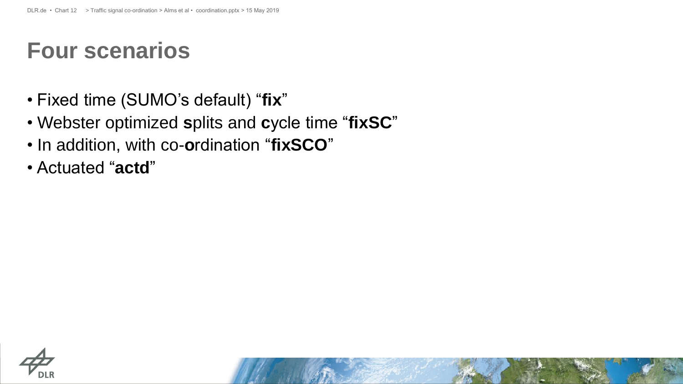#### **Four scenarios**

- Fixed time (SUMO's default) "**fix**"
- Webster optimized **s**plits and **c**ycle time "**fixSC**"
- In addition, with co-**o**rdination "**fixSCO**"
- Actuated "**actd**"

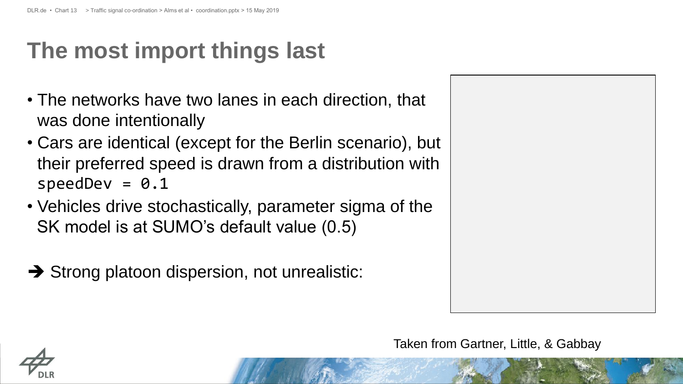## **The most import things last**

- The networks have two lanes in each direction, that was done intentionally
- Cars are identical (except for the Berlin scenario), but their preferred speed is drawn from a distribution with  $speedDev = 0.1$
- Vehicles drive stochastically, parameter sigma of the SK model is at SUMO's default value (0.5)
- $\rightarrow$  Strong platoon dispersion, not unrealistic:



Taken from Gartner, Little, & Gabbay

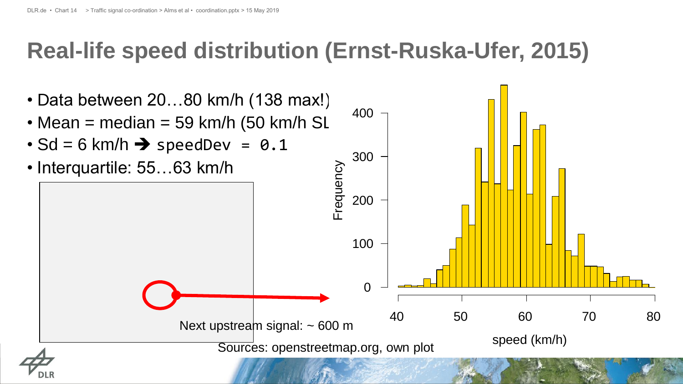#### **Real-life speed distribution (Ernst-Ruska-Ufer, 2015)**

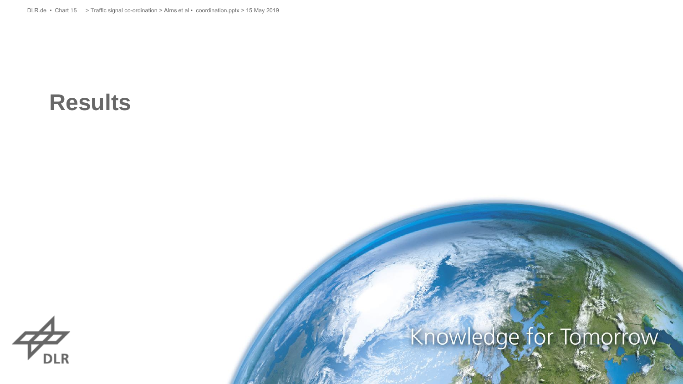#### **Results**

# $\mathcal{P}_{\scriptscriptstyle{\textrm{DLR}}}^{\scriptscriptstyle{\textrm{L}}}$

# Knowledge for Tomorrow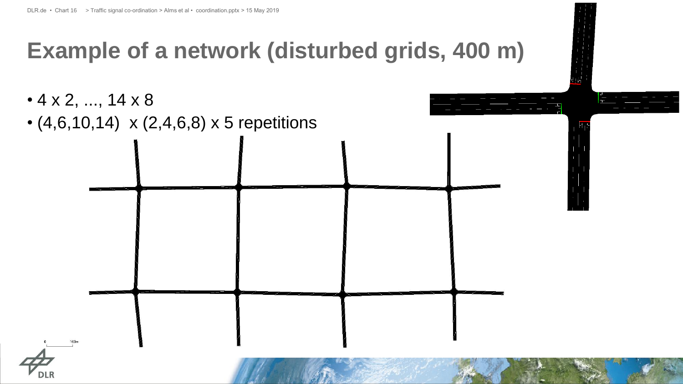#### **Example of a network (disturbed grids, 400 m)**

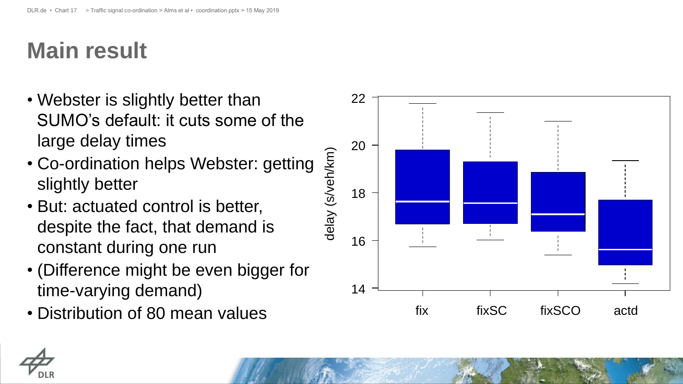## **Main result**

- Webster is slightly better than SUMO's default: it cuts some of the large delay times
- Co -ordination helps Webster: getting slightly better
- But: actuated control is better, despite the fact, that demand is constant during one run
- (Difference might be even bigger for time -varying demand)
- Distribution of 80 mean values



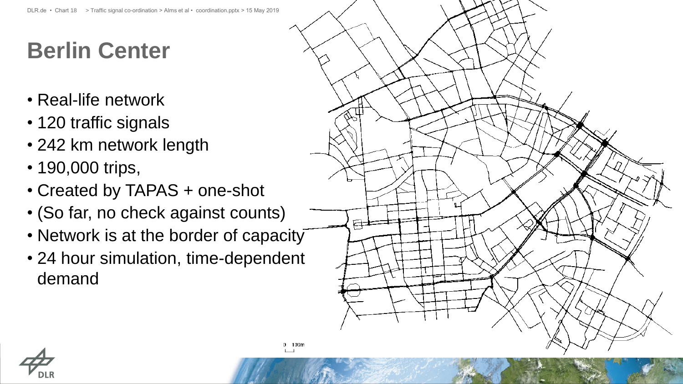## **Berlin Center**

- Real-life network
- 120 traffic signals
- 242 km network length
- 190,000 trips,
- Created by TAPAS + one-shot
- (So far, no check against counts)
- Network is at the border of capacity
- 24 hour simulation, time-dependent demand



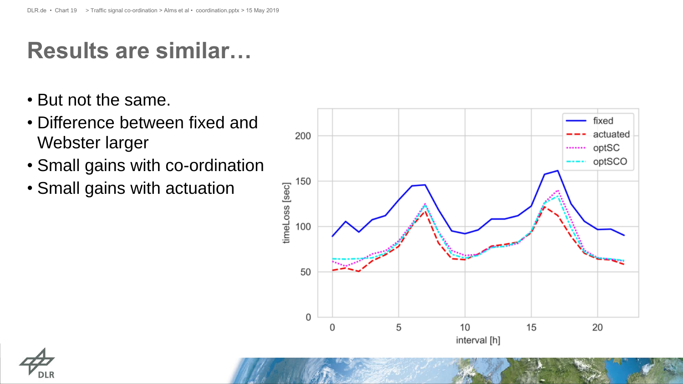## **Results are similar…**

- But not the same.
- Difference between fixed and Webster larger
- Small gains with co-ordination
- Small gains with actuation



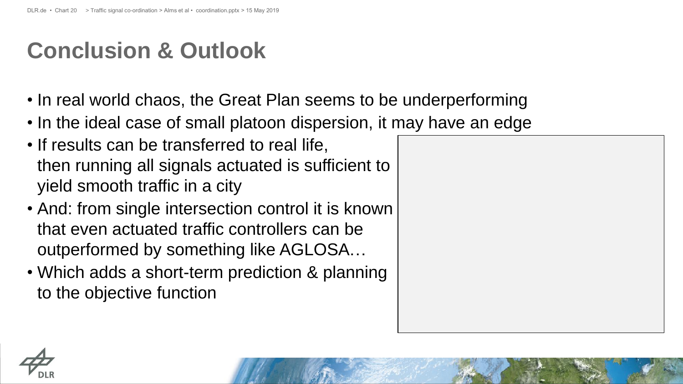#### **Conclusion & Outlook**

- In real world chaos, the Great Plan seems to be underperforming
- In the ideal case of small platoon dispersion, it may have an edge
- If results can be transferred to real life, then running all signals actuated is sufficient to yield smooth traffic in a city
- And: from single intersection control it is known that even actuated traffic controllers can be outperformed by something like AGLOSA…
- Which adds a short-term prediction & planning to the objective function